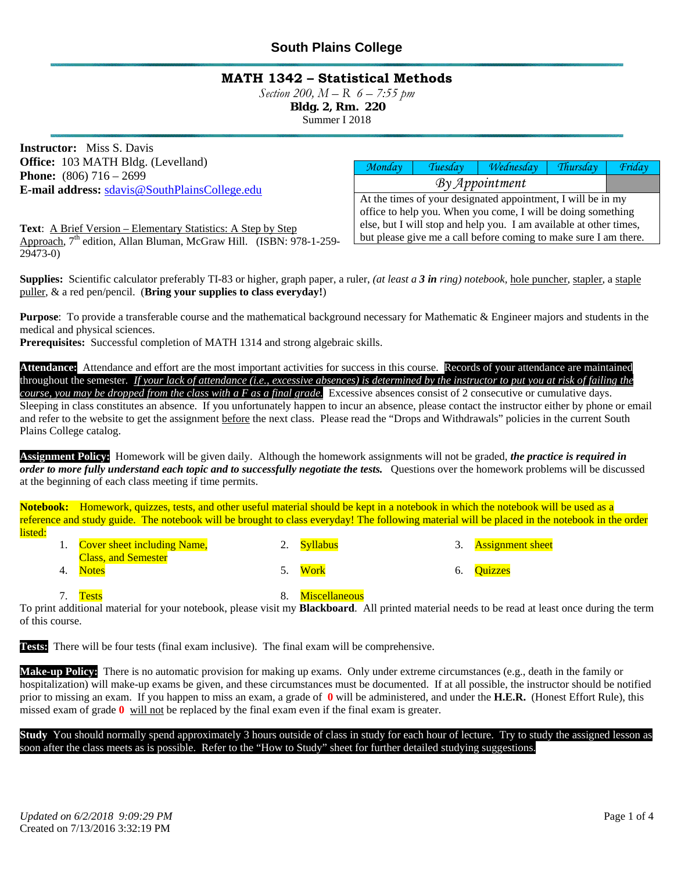### **MATH 1342 – Statistical Methods**

*Section 200, M – R 6 – 7:55 pm* 

 **Bldg. 2, Rm. 220** 

Summer I 2018

**Instructor:** Miss S. Davis **Office:** 103 MATH Bldg. (Levelland) **Phone:** (806) 716 – 2699 **E-mail address:** sdavis@SouthPlainsCollege.edu

*Monday Tuesday Wednesday Thursday Friday By Appointment* At the times of your designated appointment, I will be in my office to help you. When you come, I will be doing something else, but I will stop and help you. I am available at other times, but please give me a call before coming to make sure I am there.

**Text**: A Brief Version – Elementary Statistics: A Step by Step Approach, 7<sup>th</sup> edition, Allan Bluman, McGraw Hill. (ISBN: 978-1-259-29473-0)

**Supplies:** Scientific calculator preferably TI-83 or higher, graph paper, a ruler, *(at least a 3 in ring) notebook,* hole puncher, stapler, a staple puller, & a red pen/pencil. (**Bring your supplies to class everyday!**)

**Purpose**: To provide a transferable course and the mathematical background necessary for Mathematic & Engineer majors and students in the medical and physical sciences.

**Prerequisites:** Successful completion of MATH 1314 and strong algebraic skills.

**Attendance:** Attendance and effort are the most important activities for success in this course. Records of your attendance are maintained throughout the semester*. If your lack of attendance (i.e., excessive absences) is determined by the instructor to put you at risk of failing the course, you may be dropped from the class with a F as a final grade.* Excessive absences consist of 2 consecutive or cumulative days. Sleeping in class constitutes an absence. If you unfortunately happen to incur an absence, please contact the instructor either by phone or email and refer to the website to get the assignment before the next class. Please read the "Drops and Withdrawals" policies in the current South Plains College catalog.

**Assignment Policy:** Homework will be given daily. Although the homework assignments will not be graded, *the practice is required in order to more fully understand each topic and to successfully negotiate the tests.* Questions over the homework problems will be discussed at the beginning of each class meeting if time permits.

**Notebook:** Homework, quizzes, tests, and other useful material should be kept in a notebook in which the notebook will be used as a reference and study guide. The notebook will be brought to class everyday! The following material will be placed in the notebook in the order listed:

| 1. Cover sheet including Name, | 2. Syllabus | 3. Assignment sheet |
|--------------------------------|-------------|---------------------|
| <b>Class, and Semester</b>     |             |                     |
| 4. Notes                       | '. Work     | 6. Ouizzes          |

7. Tests 3. Miscellaneous

To print additional material for your notebook, please visit my **Blackboard**. All printed material needs to be read at least once during the term of this course.

**Tests:** There will be four tests (final exam inclusive). The final exam will be comprehensive.

**Make-up Policy:** There is no automatic provision for making up exams. Only under extreme circumstances (e.g., death in the family or hospitalization) will make-up exams be given, and these circumstances must be documented. If at all possible, the instructor should be notified prior to missing an exam. If you happen to miss an exam, a grade of **0** will be administered, and under the **H.E.R.** (Honest Effort Rule), this missed exam of grade **0** will not be replaced by the final exam even if the final exam is greater.

**Study** You should normally spend approximately 3 hours outside of class in study for each hour of lecture. Try to study the assigned lesson as soon after the class meets as is possible. Refer to the "How to Study" sheet for further detailed studying suggestions.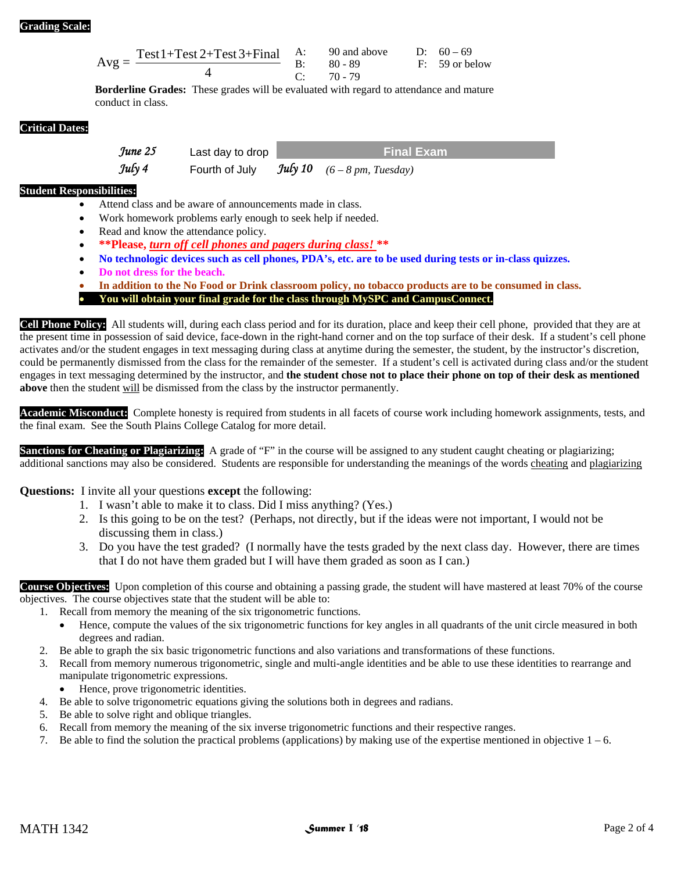#### **Grading Scale:**

$$
Avg = \frac{Test1 + Test2 + Test3 + Final}{4}
$$
 A: 90 and above D: 60 - 69  
B: 80 - 89 F: 59 or below  
C: 70 - 79

**Borderline Grades:** These grades will be evaluated with regard to attendance and mature conduct in class.

#### **Critical Dates:**

*June 25* **Last day to drop <b>Final Exam** 

- **Student Responsibilities:** 
	- Attend class and be aware of announcements made in class.
	- Work homework problems early enough to seek help if needed.

*July 4* Fourth of July *July 10 (6 – 8 pm, Tuesday)*

- Read and know the attendance policy.
- **\*\*Please,** *turn off cell phones and pagers during class!* **\*\***
- **No technologic devices such as cell phones, PDA's, etc. are to be used during tests or in-class quizzes.**
- **Do not dress for the beach.**
- **In addition to the No Food or Drink classroom policy, no tobacco products are to be consumed in class.**
- **You will obtain your final grade for the class through MySPC and CampusConnect.**

**Cell Phone Policy:** All students will, during each class period and for its duration, place and keep their cell phone, provided that they are at the present time in possession of said device, face-down in the right-hand corner and on the top surface of their desk. If a student's cell phone activates and/or the student engages in text messaging during class at anytime during the semester, the student, by the instructor's discretion, could be permanently dismissed from the class for the remainder of the semester. If a student's cell is activated during class and/or the student engages in text messaging determined by the instructor, and **the student chose not to place their phone on top of their desk as mentioned above** then the student will be dismissed from the class by the instructor permanently.

Academic Misconduct: Complete honesty is required from students in all facets of course work including homework assignments, tests, and the final exam. See the South Plains College Catalog for more detail.

**Sanctions for Cheating or Plagiarizing:** A grade of "F" in the course will be assigned to any student caught cheating or plagiarizing; additional sanctions may also be considered. Students are responsible for understanding the meanings of the words cheating and plagiarizing

**Questions:** I invite all your questions **except** the following:

- 1. I wasn't able to make it to class. Did I miss anything? (Yes.)
- 2. Is this going to be on the test? (Perhaps, not directly, but if the ideas were not important, I would not be discussing them in class.)
- 3. Do you have the test graded? (I normally have the tests graded by the next class day. However, there are times that I do not have them graded but I will have them graded as soon as I can.)

**Course Objectives:** Upon completion of this course and obtaining a passing grade, the student will have mastered at least 70% of the course objectives. The course objectives state that the student will be able to:

- 1. Recall from memory the meaning of the six trigonometric functions.
	- Hence, compute the values of the six trigonometric functions for key angles in all quadrants of the unit circle measured in both degrees and radian.
- 2. Be able to graph the six basic trigonometric functions and also variations and transformations of these functions.
- 3. Recall from memory numerous trigonometric, single and multi-angle identities and be able to use these identities to rearrange and manipulate trigonometric expressions.
	- Hence, prove trigonometric identities.
- 4. Be able to solve trigonometric equations giving the solutions both in degrees and radians.
- 5. Be able to solve right and oblique triangles.
- 6. Recall from memory the meaning of the six inverse trigonometric functions and their respective ranges.
- 7. Be able to find the solution the practical problems (applications) by making use of the expertise mentioned in objective  $1 6$ .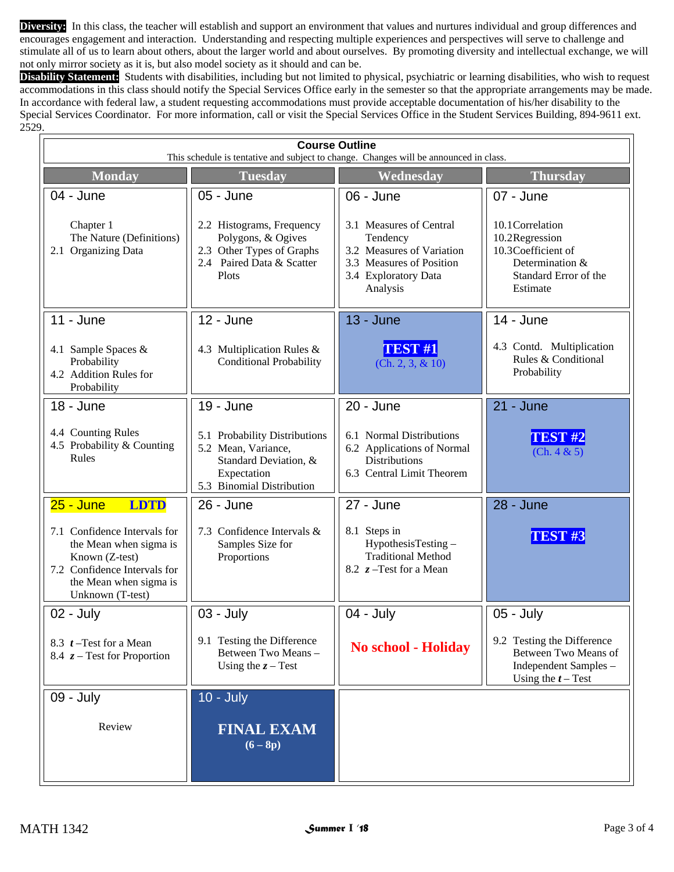**Diversity:** In this class, the teacher will establish and support an environment that values and nurtures individual and group differences and encourages engagement and interaction. Understanding and respecting multiple experiences and perspectives will serve to challenge and stimulate all of us to learn about others, about the larger world and about ourselves. By promoting diversity and intellectual exchange, we will not only mirror society as it is, but also model society as it should and can be.

**Disability Statement:** Students with disabilities, including but not limited to physical, psychiatric or learning disabilities, who wish to request accommodations in this class should notify the Special Services Office early in the semester so that the appropriate arrangements may be made. In accordance with federal law, a student requesting accommodations must provide acceptable documentation of his/her disability to the Special Services Coordinator. For more information, call or visit the Special Services Office in the Student Services Building, 894-9611 ext. 2529.

| <b>Course Outline</b><br>This schedule is tentative and subject to change. Changes will be announced in class.                                                                       |                                                                                                                                        |                                                                                                                                               |                                                                                                                               |  |  |  |  |  |
|--------------------------------------------------------------------------------------------------------------------------------------------------------------------------------------|----------------------------------------------------------------------------------------------------------------------------------------|-----------------------------------------------------------------------------------------------------------------------------------------------|-------------------------------------------------------------------------------------------------------------------------------|--|--|--|--|--|
| <b>Monday</b>                                                                                                                                                                        | <b>Tuesday</b>                                                                                                                         | Wednesday                                                                                                                                     | <b>Thursday</b>                                                                                                               |  |  |  |  |  |
| $04 - June$<br>Chapter 1<br>The Nature (Definitions)<br>2.1 Organizing Data                                                                                                          | 05 - June<br>2.2 Histograms, Frequency<br>Polygons, & Ogives<br>2.3 Other Types of Graphs<br>2.4 Paired Data & Scatter<br>Plots        | 06 - June<br>3.1 Measures of Central<br>Tendency<br>3.2 Measures of Variation<br>3.3 Measures of Position<br>3.4 Exploratory Data<br>Analysis | 07 - June<br>10.1 Correlation<br>10.2Regression<br>10.3Coefficient of<br>Determination &<br>Standard Error of the<br>Estimate |  |  |  |  |  |
| $11 -$ June<br>4.1 Sample Spaces &<br>Probability<br>4.2 Addition Rules for<br>Probability                                                                                           | 12 - June<br>4.3 Multiplication Rules &<br><b>Conditional Probability</b>                                                              | <b>13 - June</b><br><b>TEST #1</b><br>(Ch. 2, 3, & 10)                                                                                        | 14 - June<br>4.3 Contd. Multiplication<br>Rules & Conditional<br>Probability                                                  |  |  |  |  |  |
| 18 - June<br>4.4 Counting Rules<br>4.5 Probability & Counting<br>Rules                                                                                                               | 19 - June<br>5.1 Probability Distributions<br>5.2 Mean, Variance,<br>Standard Deviation, &<br>Expectation<br>5.3 Binomial Distribution | 20 - June<br>6.1 Normal Distributions<br>6.2 Applications of Normal<br><b>Distributions</b><br>6.3 Central Limit Theorem                      | 21 - June<br>TEST <sub>#2</sub><br>(Ch. 4 & 5)                                                                                |  |  |  |  |  |
| <b>LDTD</b><br>$25 - June$<br>7.1 Confidence Intervals for<br>the Mean when sigma is<br>Known (Z-test)<br>7.2 Confidence Intervals for<br>the Mean when sigma is<br>Unknown (T-test) | 26 - June<br>7.3 Confidence Intervals &<br>Samples Size for<br>Proportions                                                             | 27 - June<br>8.1 Steps in<br>HypothesisTesting-<br><b>Traditional Method</b><br>8.2 $z$ –Test for a Mean                                      | 28 - June<br>TEST <sub>#3</sub>                                                                                               |  |  |  |  |  |
| $02 - July$<br>8.3 $t$ –Test for a Mean<br>8.4 $z$ – Test for Proportion                                                                                                             | 03 - July<br>9.1 Testing the Difference<br>Between Two Means-<br>Using the $z$ – Test                                                  | $04 - July$<br><b>No school - Holiday</b>                                                                                                     | 05 - July<br>9.2 Testing the Difference<br>Between Two Means of<br>Independent Samples -<br>Using the $t$ – Test              |  |  |  |  |  |
| 09 - July<br>Review                                                                                                                                                                  | $10 - July$<br><b>FINAL EXAM</b><br>$(6 - 8p)$                                                                                         |                                                                                                                                               |                                                                                                                               |  |  |  |  |  |